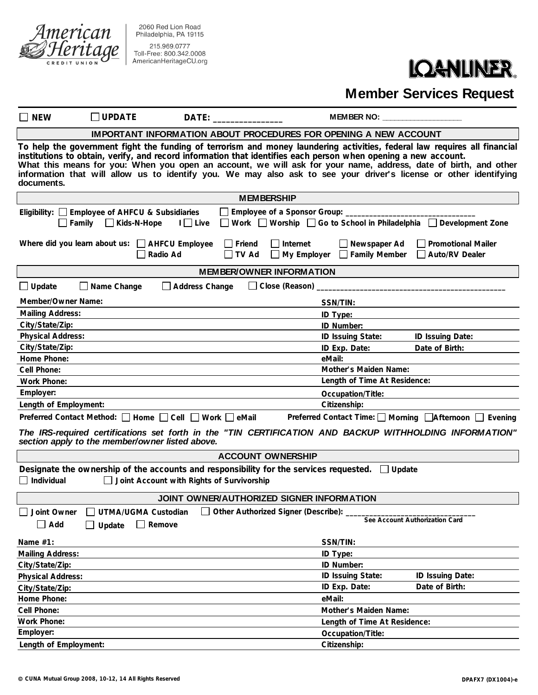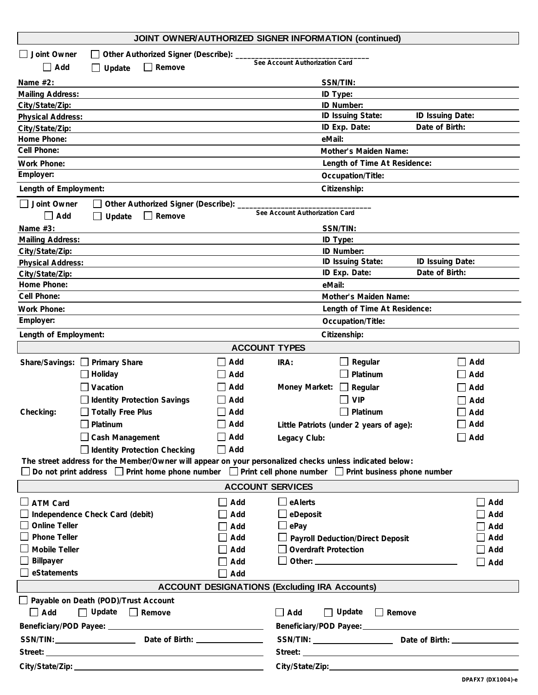| Joint Owner<br>Other Authorized Signer (Describe): _<br>$\mathbf{I}$<br>See Account Authorization Card<br>$\Box$ Add<br>$\Box$ Remove<br>Update<br>$\Box$<br>Name $#2$ :<br>SSN/TIN:<br>ID Type:<br><b>Mailing Address:</b><br>ID Number:<br>City/State/Zip:<br>ID Issuing State:<br>ID Issuing Date:<br><b>Physical Address:</b><br>ID Exp. Date:<br>Date of Birth:<br>City/State/Zip:<br>Home Phone:<br>eMail:<br>Cell Phone:<br>Mother's Maiden Name:<br>Work Phone:<br>Length of Time At Residence:<br>Employer:<br>Occupation/Title:<br>Citizenship:<br>Length of Employment:<br>Joint Owner<br>Other Authorized Signer (Describe): _<br>See Account Authorization Card<br>$\Box$ Remove<br>$\Box$ Add<br>Update<br>Name #3:<br>SSN/TIN:<br>ID Type:<br><b>Mailing Address:</b><br>City/State/Zip:<br>ID Number:<br>ID Issuing State:<br>ID Issuing Date:<br><b>Physical Address:</b><br>ID Exp. Date:<br>Date of Birth:<br>City/State/Zip:<br>Home Phone:<br>eMail:<br>Cell Phone:<br>Mother's Maiden Name:<br>Length of Time At Residence:<br>Work Phone:<br>Employer:<br>Occupation/Title:<br>Length of Employment:<br>Citizenship:<br><b>ACCOUNT TYPES</b><br>Regular<br>Share/Savings: Primary Share<br>Add<br>IRA:<br>Add<br>Platinum<br>Holiday<br>Add<br>Add<br>Vacation<br>Add<br>Money Market:<br>Regular<br>$\perp$<br>Add<br><b>VIP</b><br><b>Identity Protection Savings</b><br>Add<br>Add |  |  |  |  |  |
|--------------------------------------------------------------------------------------------------------------------------------------------------------------------------------------------------------------------------------------------------------------------------------------------------------------------------------------------------------------------------------------------------------------------------------------------------------------------------------------------------------------------------------------------------------------------------------------------------------------------------------------------------------------------------------------------------------------------------------------------------------------------------------------------------------------------------------------------------------------------------------------------------------------------------------------------------------------------------------------------------------------------------------------------------------------------------------------------------------------------------------------------------------------------------------------------------------------------------------------------------------------------------------------------------------------------------------------------------------------------------------------------------------------|--|--|--|--|--|
|                                                                                                                                                                                                                                                                                                                                                                                                                                                                                                                                                                                                                                                                                                                                                                                                                                                                                                                                                                                                                                                                                                                                                                                                                                                                                                                                                                                                              |  |  |  |  |  |
|                                                                                                                                                                                                                                                                                                                                                                                                                                                                                                                                                                                                                                                                                                                                                                                                                                                                                                                                                                                                                                                                                                                                                                                                                                                                                                                                                                                                              |  |  |  |  |  |
|                                                                                                                                                                                                                                                                                                                                                                                                                                                                                                                                                                                                                                                                                                                                                                                                                                                                                                                                                                                                                                                                                                                                                                                                                                                                                                                                                                                                              |  |  |  |  |  |
|                                                                                                                                                                                                                                                                                                                                                                                                                                                                                                                                                                                                                                                                                                                                                                                                                                                                                                                                                                                                                                                                                                                                                                                                                                                                                                                                                                                                              |  |  |  |  |  |
|                                                                                                                                                                                                                                                                                                                                                                                                                                                                                                                                                                                                                                                                                                                                                                                                                                                                                                                                                                                                                                                                                                                                                                                                                                                                                                                                                                                                              |  |  |  |  |  |
|                                                                                                                                                                                                                                                                                                                                                                                                                                                                                                                                                                                                                                                                                                                                                                                                                                                                                                                                                                                                                                                                                                                                                                                                                                                                                                                                                                                                              |  |  |  |  |  |
|                                                                                                                                                                                                                                                                                                                                                                                                                                                                                                                                                                                                                                                                                                                                                                                                                                                                                                                                                                                                                                                                                                                                                                                                                                                                                                                                                                                                              |  |  |  |  |  |
|                                                                                                                                                                                                                                                                                                                                                                                                                                                                                                                                                                                                                                                                                                                                                                                                                                                                                                                                                                                                                                                                                                                                                                                                                                                                                                                                                                                                              |  |  |  |  |  |
|                                                                                                                                                                                                                                                                                                                                                                                                                                                                                                                                                                                                                                                                                                                                                                                                                                                                                                                                                                                                                                                                                                                                                                                                                                                                                                                                                                                                              |  |  |  |  |  |
|                                                                                                                                                                                                                                                                                                                                                                                                                                                                                                                                                                                                                                                                                                                                                                                                                                                                                                                                                                                                                                                                                                                                                                                                                                                                                                                                                                                                              |  |  |  |  |  |
|                                                                                                                                                                                                                                                                                                                                                                                                                                                                                                                                                                                                                                                                                                                                                                                                                                                                                                                                                                                                                                                                                                                                                                                                                                                                                                                                                                                                              |  |  |  |  |  |
|                                                                                                                                                                                                                                                                                                                                                                                                                                                                                                                                                                                                                                                                                                                                                                                                                                                                                                                                                                                                                                                                                                                                                                                                                                                                                                                                                                                                              |  |  |  |  |  |
|                                                                                                                                                                                                                                                                                                                                                                                                                                                                                                                                                                                                                                                                                                                                                                                                                                                                                                                                                                                                                                                                                                                                                                                                                                                                                                                                                                                                              |  |  |  |  |  |
|                                                                                                                                                                                                                                                                                                                                                                                                                                                                                                                                                                                                                                                                                                                                                                                                                                                                                                                                                                                                                                                                                                                                                                                                                                                                                                                                                                                                              |  |  |  |  |  |
|                                                                                                                                                                                                                                                                                                                                                                                                                                                                                                                                                                                                                                                                                                                                                                                                                                                                                                                                                                                                                                                                                                                                                                                                                                                                                                                                                                                                              |  |  |  |  |  |
|                                                                                                                                                                                                                                                                                                                                                                                                                                                                                                                                                                                                                                                                                                                                                                                                                                                                                                                                                                                                                                                                                                                                                                                                                                                                                                                                                                                                              |  |  |  |  |  |
|                                                                                                                                                                                                                                                                                                                                                                                                                                                                                                                                                                                                                                                                                                                                                                                                                                                                                                                                                                                                                                                                                                                                                                                                                                                                                                                                                                                                              |  |  |  |  |  |
|                                                                                                                                                                                                                                                                                                                                                                                                                                                                                                                                                                                                                                                                                                                                                                                                                                                                                                                                                                                                                                                                                                                                                                                                                                                                                                                                                                                                              |  |  |  |  |  |
|                                                                                                                                                                                                                                                                                                                                                                                                                                                                                                                                                                                                                                                                                                                                                                                                                                                                                                                                                                                                                                                                                                                                                                                                                                                                                                                                                                                                              |  |  |  |  |  |
|                                                                                                                                                                                                                                                                                                                                                                                                                                                                                                                                                                                                                                                                                                                                                                                                                                                                                                                                                                                                                                                                                                                                                                                                                                                                                                                                                                                                              |  |  |  |  |  |
|                                                                                                                                                                                                                                                                                                                                                                                                                                                                                                                                                                                                                                                                                                                                                                                                                                                                                                                                                                                                                                                                                                                                                                                                                                                                                                                                                                                                              |  |  |  |  |  |
|                                                                                                                                                                                                                                                                                                                                                                                                                                                                                                                                                                                                                                                                                                                                                                                                                                                                                                                                                                                                                                                                                                                                                                                                                                                                                                                                                                                                              |  |  |  |  |  |
|                                                                                                                                                                                                                                                                                                                                                                                                                                                                                                                                                                                                                                                                                                                                                                                                                                                                                                                                                                                                                                                                                                                                                                                                                                                                                                                                                                                                              |  |  |  |  |  |
|                                                                                                                                                                                                                                                                                                                                                                                                                                                                                                                                                                                                                                                                                                                                                                                                                                                                                                                                                                                                                                                                                                                                                                                                                                                                                                                                                                                                              |  |  |  |  |  |
|                                                                                                                                                                                                                                                                                                                                                                                                                                                                                                                                                                                                                                                                                                                                                                                                                                                                                                                                                                                                                                                                                                                                                                                                                                                                                                                                                                                                              |  |  |  |  |  |
|                                                                                                                                                                                                                                                                                                                                                                                                                                                                                                                                                                                                                                                                                                                                                                                                                                                                                                                                                                                                                                                                                                                                                                                                                                                                                                                                                                                                              |  |  |  |  |  |
|                                                                                                                                                                                                                                                                                                                                                                                                                                                                                                                                                                                                                                                                                                                                                                                                                                                                                                                                                                                                                                                                                                                                                                                                                                                                                                                                                                                                              |  |  |  |  |  |
|                                                                                                                                                                                                                                                                                                                                                                                                                                                                                                                                                                                                                                                                                                                                                                                                                                                                                                                                                                                                                                                                                                                                                                                                                                                                                                                                                                                                              |  |  |  |  |  |
|                                                                                                                                                                                                                                                                                                                                                                                                                                                                                                                                                                                                                                                                                                                                                                                                                                                                                                                                                                                                                                                                                                                                                                                                                                                                                                                                                                                                              |  |  |  |  |  |
|                                                                                                                                                                                                                                                                                                                                                                                                                                                                                                                                                                                                                                                                                                                                                                                                                                                                                                                                                                                                                                                                                                                                                                                                                                                                                                                                                                                                              |  |  |  |  |  |
|                                                                                                                                                                                                                                                                                                                                                                                                                                                                                                                                                                                                                                                                                                                                                                                                                                                                                                                                                                                                                                                                                                                                                                                                                                                                                                                                                                                                              |  |  |  |  |  |
| <b>Totally Free Plus</b><br>Platinum<br>Add<br>Add<br>Checking:                                                                                                                                                                                                                                                                                                                                                                                                                                                                                                                                                                                                                                                                                                                                                                                                                                                                                                                                                                                                                                                                                                                                                                                                                                                                                                                                              |  |  |  |  |  |
| $\Box$ Add<br>$\Box$ Add<br>Platinum<br>Little Patriots (under 2 years of age):                                                                                                                                                                                                                                                                                                                                                                                                                                                                                                                                                                                                                                                                                                                                                                                                                                                                                                                                                                                                                                                                                                                                                                                                                                                                                                                              |  |  |  |  |  |
| Cash Management<br>$\Box$ Add<br>$\Box$ Add<br>Legacy Club:                                                                                                                                                                                                                                                                                                                                                                                                                                                                                                                                                                                                                                                                                                                                                                                                                                                                                                                                                                                                                                                                                                                                                                                                                                                                                                                                                  |  |  |  |  |  |
| Identity Protection Checking<br>Add                                                                                                                                                                                                                                                                                                                                                                                                                                                                                                                                                                                                                                                                                                                                                                                                                                                                                                                                                                                                                                                                                                                                                                                                                                                                                                                                                                          |  |  |  |  |  |
| The street address for the Member/Owner will appear on your personalized checks unless indicated below:                                                                                                                                                                                                                                                                                                                                                                                                                                                                                                                                                                                                                                                                                                                                                                                                                                                                                                                                                                                                                                                                                                                                                                                                                                                                                                      |  |  |  |  |  |
| □ Do not print address □ Print home phone number □ Print cell phone number □ Print business phone number                                                                                                                                                                                                                                                                                                                                                                                                                                                                                                                                                                                                                                                                                                                                                                                                                                                                                                                                                                                                                                                                                                                                                                                                                                                                                                     |  |  |  |  |  |
| <b>ACCOUNT SERVICES</b>                                                                                                                                                                                                                                                                                                                                                                                                                                                                                                                                                                                                                                                                                                                                                                                                                                                                                                                                                                                                                                                                                                                                                                                                                                                                                                                                                                                      |  |  |  |  |  |
| $\Box$ eAlerts<br>Add<br>Add<br><b>ATM Card</b>                                                                                                                                                                                                                                                                                                                                                                                                                                                                                                                                                                                                                                                                                                                                                                                                                                                                                                                                                                                                                                                                                                                                                                                                                                                                                                                                                              |  |  |  |  |  |
| Independence Check Card (debit)<br>$\Box$ eDeposit<br>Add<br>Add                                                                                                                                                                                                                                                                                                                                                                                                                                                                                                                                                                                                                                                                                                                                                                                                                                                                                                                                                                                                                                                                                                                                                                                                                                                                                                                                             |  |  |  |  |  |
| <b>Online Teller</b><br>$\Box$ ePay<br>Add<br>Add                                                                                                                                                                                                                                                                                                                                                                                                                                                                                                                                                                                                                                                                                                                                                                                                                                                                                                                                                                                                                                                                                                                                                                                                                                                                                                                                                            |  |  |  |  |  |
| <b>Phone Teller</b><br>Add<br>Payroll Deduction/Direct Deposit<br>Add                                                                                                                                                                                                                                                                                                                                                                                                                                                                                                                                                                                                                                                                                                                                                                                                                                                                                                                                                                                                                                                                                                                                                                                                                                                                                                                                        |  |  |  |  |  |
| $\Box$ Overdraft Protection<br><b>Mobile Teller</b><br>$\Box$ Add<br>Add                                                                                                                                                                                                                                                                                                                                                                                                                                                                                                                                                                                                                                                                                                                                                                                                                                                                                                                                                                                                                                                                                                                                                                                                                                                                                                                                     |  |  |  |  |  |
| Billpayer<br>Add<br>$\Box$ Add                                                                                                                                                                                                                                                                                                                                                                                                                                                                                                                                                                                                                                                                                                                                                                                                                                                                                                                                                                                                                                                                                                                                                                                                                                                                                                                                                                               |  |  |  |  |  |
| eStatements                                                                                                                                                                                                                                                                                                                                                                                                                                                                                                                                                                                                                                                                                                                                                                                                                                                                                                                                                                                                                                                                                                                                                                                                                                                                                                                                                                                                  |  |  |  |  |  |
|                                                                                                                                                                                                                                                                                                                                                                                                                                                                                                                                                                                                                                                                                                                                                                                                                                                                                                                                                                                                                                                                                                                                                                                                                                                                                                                                                                                                              |  |  |  |  |  |
| Add                                                                                                                                                                                                                                                                                                                                                                                                                                                                                                                                                                                                                                                                                                                                                                                                                                                                                                                                                                                                                                                                                                                                                                                                                                                                                                                                                                                                          |  |  |  |  |  |
| <b>ACCOUNT DESIGNATIONS (Excluding IRA Accounts)</b>                                                                                                                                                                                                                                                                                                                                                                                                                                                                                                                                                                                                                                                                                                                                                                                                                                                                                                                                                                                                                                                                                                                                                                                                                                                                                                                                                         |  |  |  |  |  |
| Payable on Death (POD)/Trust Account                                                                                                                                                                                                                                                                                                                                                                                                                                                                                                                                                                                                                                                                                                                                                                                                                                                                                                                                                                                                                                                                                                                                                                                                                                                                                                                                                                         |  |  |  |  |  |
| $\Box$ Update $\Box$ Remove<br>$\Box$ Add<br>$\Box$ Update<br>$\Box$ Remove<br>Add                                                                                                                                                                                                                                                                                                                                                                                                                                                                                                                                                                                                                                                                                                                                                                                                                                                                                                                                                                                                                                                                                                                                                                                                                                                                                                                           |  |  |  |  |  |
|                                                                                                                                                                                                                                                                                                                                                                                                                                                                                                                                                                                                                                                                                                                                                                                                                                                                                                                                                                                                                                                                                                                                                                                                                                                                                                                                                                                                              |  |  |  |  |  |
|                                                                                                                                                                                                                                                                                                                                                                                                                                                                                                                                                                                                                                                                                                                                                                                                                                                                                                                                                                                                                                                                                                                                                                                                                                                                                                                                                                                                              |  |  |  |  |  |
| Street: <u>Andrea Communication</u> and Communication and Communication and Communication and Communication and Communication<br>Street: <u>www.communications.communications.com</u>                                                                                                                                                                                                                                                                                                                                                                                                                                                                                                                                                                                                                                                                                                                                                                                                                                                                                                                                                                                                                                                                                                                                                                                                                        |  |  |  |  |  |